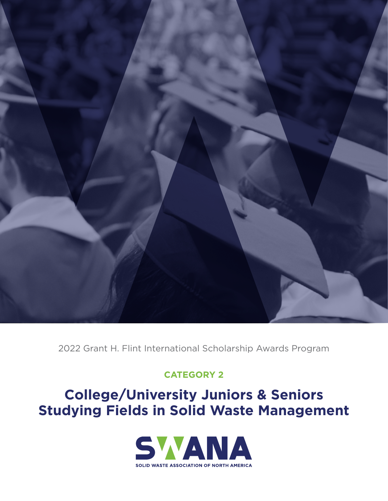

2022 Grant H. Flint International Scholarship Awards Program

## **CATEGORY 2**

## **College/University Juniors & Seniors Studying Fields in Solid Waste Management**

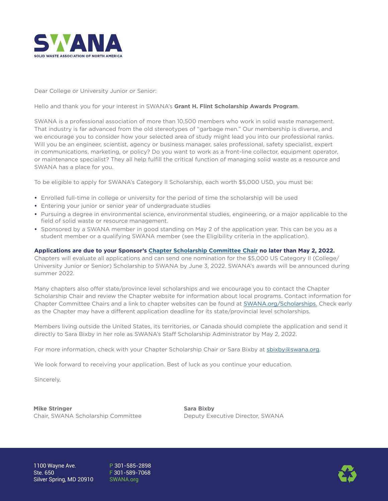

Dear College or University Junior or Senior:

Hello and thank you for your interest in SWANA's **Grant H. Flint Scholarship Awards Program**.

SWANA is a professional association of more than 10,500 members who work in solid waste management. That industry is far advanced from the old stereotypes of "garbage men." Our membership is diverse, and we encourage you to consider how your selected area of study might lead you into our professional ranks. Will you be an engineer, scientist, agency or business manager, sales professional, safety specialist, expert in communications, marketing, or policy? Do you want to work as a front-line collector, equipment operator, or maintenance specialist? They all help fulfill the critical function of managing solid waste as a resource and SWANA has a place for you.

To be eligible to apply for SWANA's Category II Scholarship, each worth \$5,000 USD, you must be:

- **•** Enrolled full-time in college or university for the period of time the scholarship will be used
- **•** Entering your junior or senior year of undergraduate studies
- **•** Pursuing a degree in environmental science, environmental studies, engineering, or a major applicable to the field of solid waste or resource management.
- **•** Sponsored by a SWANA member in good standing on May 2 of the application year. This can be you as a student member or a qualifying SWANA member (see the Eligibility criteria in the application).

#### **Applications are due to your Sponsor's [Chapter Scholarship Committee Chair](https://swana.org/community/awards-scholarships/scholarships-internships/contact-chapter-scholarship-chairs) no later than May 2, 2022.**

Chapters will evaluate all applications and can send one nomination for the \$5,000 US Category II (College/ University Junior or Senior) Scholarship to SWANA by June 3, 2022. SWANA's awards will be announced during summer 2022.

Many chapters also offer state/province level scholarships and we encourage you to contact the Chapter Scholarship Chair and review the Chapter website for information about local programs. Contact information for Chapter Committee Chairs and a link to chapter websites can be found at [SWANA.org/Scholarships](https://swana.org/community/awards-scholarships/scholarships-internships). Check early as the Chapter may have a different application deadline for its state/provincial level scholarships.

Members living outside the United States, its territories, or Canada should complete the application and send it directly to Sara Bixby in her role as SWANA's Staff Scholarship Administrator by May 2, 2022.

For more information, check with your Chapter Scholarship Chair or Sara Bixby at [sbixby@swana.org](mailto:sbixby@swana.org).

We look forward to receiving your application. Best of luck as you continue your education.

Sincerely,

**Mike Stringer**  Chair, SWANA Scholarship Committee **Sara Bixby** Deputy Executive Director, SWANA

P 301-585-2898 F 301-589-7068 [SWANA.org](http://SWANA.org)

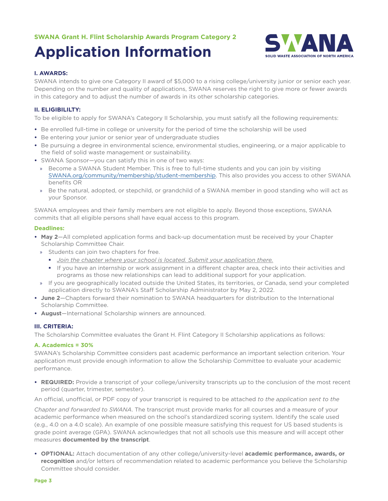# **Application Information**



#### **I. AWARDS:**

SWANA intends to give one Category II award of \$5,000 to a rising college/university junior or senior each year. Depending on the number and quality of applications, SWANA reserves the right to give more or fewer awards in this category and to adjust the number of awards in its other scholarship categories.

#### **II. ELIGIBILILTY:**

To be eligible to apply for SWANA's Category II Scholarship, you must satisfy all the following requirements:

- **•** Be enrolled full-time in college or university for the period of time the scholarship will be used
- **•** Be entering your junior or senior year of undergraduate studies
- **•** Be pursuing a degree in environmental science, environmental studies, engineering, or a major applicable to the field of solid waste management or sustainability.
- **•** SWANA Sponsor—you can satisfy this in one of two ways:
	- » Become a SWANA Student Member. This is free to full-time students and you can join by visiting [SWANA.org/community/membership/student-membership](https://swana.org/community/membership/student-membership). This also provides you access to other SWANA benefits OR
	- » Be the natural, adopted, or stepchild, or grandchild of a SWANA member in good standing who will act as your Sponsor.

SWANA employees and their family members are not eligible to apply. Beyond those exceptions, SWANA commits that all eligible persons shall have equal access to this program.

#### **Deadlines:**

- **• May 2**—All completed application forms and back-up documentation must be received by your Chapter Scholarship Committee Chair.
	- » Students can join two chapters for free.
		- *Join the chapter where your school is located. Submit your application there.*
		- If you have an internship or work assignment in a different chapter area, check into their activities and programs as those new relationships can lead to additional support for your application.
	- » If you are geographically located outside the United States, its territories, or Canada, send your completed application directly to SWANA's Staff Scholarship Administrator by May 2, 2022.
- **• June 2**—Chapters forward their nomination to SWANA headquarters for distribution to the International Scholarship Committee.
- **• August**—International Scholarship winners are announced.

#### **III. CRITERIA:**

The Scholarship Committee evaluates the Grant H. Flint Category II Scholarship applications as follows:

#### **A. Academics = 30%**

SWANA's Scholarship Committee considers past academic performance an important selection criterion. Your application must provide enough information to allow the Scholarship Committee to evaluate your academic performance.

**• REQUIRED:** Provide a transcript of your college/university transcripts up to the conclusion of the most recent period (quarter, trimester, semester).

An official, unofficial, or PDF copy of your transcript is required to be attached *to the application sent to the* 

*Chapter and forwarded to SWANA*. The transcript must provide marks for all courses and a measure of your academic performance when measured on the school's standardized scoring system. Identify the scale used (e.g., 4.0 on a 4.0 scale). An example of one possible measure satisfying this request for US based students is grade point average (GPA). SWANA acknowledges that not all schools use this measure and will accept other measures **documented by the transcript**.

**• OPTIONAL:** Attach documentation of any other college/university-level **academic performance, awards, or recognition** and/or letters of recommendation related to academic performance you believe the Scholarship Committee should consider.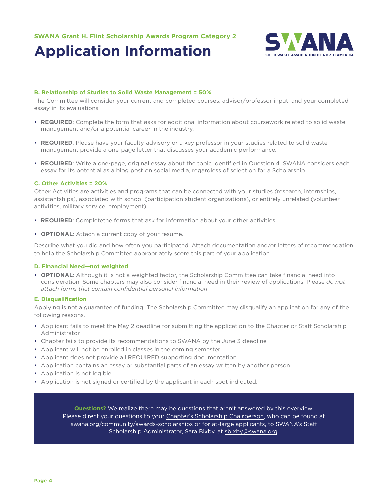## **Application Information**



#### **B. Relationship of Studies to Solid Waste Management = 50%**

The Committee will consider your current and completed courses, advisor/professor input, and your completed essay in its evaluations.

- **• REQUIRED**: Complete the form that asks for additional information about coursework related to solid waste management and/or a potential career in the industry.
- **• REQUIRED**: Please have your faculty advisory or a key professor in your studies related to solid waste management provide a one-page letter that discusses your academic performance.
- **• REQUIRED**: Write a one-page, original essay about the topic identified in Question 4. SWANA considers each essay for its potential as a blog post on social media, regardless of selection for a Scholarship.

#### **C. Other Activities = 20%**

Other Activities are activities and programs that can be connected with your studies (research, internships, assistantships), associated with school (participation student organizations), or entirely unrelated (volunteer activities, military service, employment).

- **• REQUIRED**: Completethe forms that ask for information about your other activities.
- **• OPTIONAL**: Attach a current copy of your resume.

Describe what you did and how often you participated. Attach documentation and/or letters of recommendation to help the Scholarship Committee appropriately score this part of your application.

#### **D. Financial Need—not weighted**

**• OPTIONAL**: Although it is not a weighted factor, the Scholarship Committee can take financial need into consideration. Some chapters may also consider financial need in their review of applications. Please *do not attach forms that contain confidential personal information*.

#### **E. Disqualification**

Applying is not a guarantee of funding. The Scholarship Committee may disqualify an application for any of the following reasons.

- **•** Applicant fails to meet the May 2 deadline for submitting the application to the Chapter or Staff Scholarship Administrator.
- **•** Chapter fails to provide its recommendations to SWANA by the June 3 deadline
- **•** Applicant will not be enrolled in classes in the coming semester
- **•** Applicant does not provide all REQUIRED supporting documentation
- **•** Application contains an essay or substantial parts of an essay written by another person
- **•** Application is not legible
- **•** Application is not signed or certified by the applicant in each spot indicated.

**Questions?** We realize there may be questions that aren't answered by this overview. Please direct your questions to your [Chapter's Scholarship Chairperson](https://swana.org/community/awards-scholarships/scholarships-internships/contact-chapter-scholarship-chairs), who can be found at [swana.org/community/awards-scholarships](http://swana.org/community/awards-scholarships) or for at-large applicants, to SWANA's Staff Scholarship Administrator, Sara Bixby, at [sbixby@swana.org.](mailto:sbixby%40swana.org?subject=)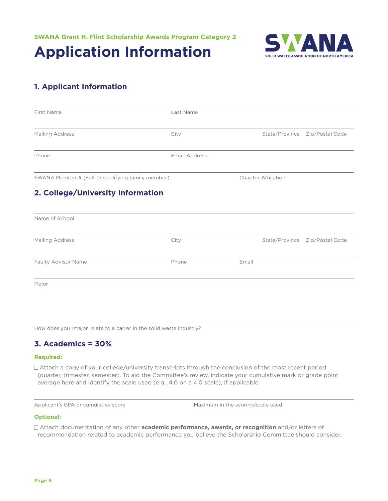**Application Information**



## **1. Applicant Information**

| City<br><b>Email Address</b> |       | Chapter Affiliation | State/Province Zip/Postal Code |
|------------------------------|-------|---------------------|--------------------------------|
|                              |       |                     |                                |
|                              |       |                     |                                |
|                              |       |                     |                                |
|                              |       |                     |                                |
|                              |       |                     |                                |
| City                         |       |                     | State/Province Zip/Postal Code |
| Phone                        | Email |                     |                                |
|                              |       |                     |                                |
|                              |       |                     |                                |

How does you rmajor relate to a carrer in the solid waste industry?

## **3. Academics = 30%**

#### **Required:**

Attach a copy of your college/university transcripts through the conclusion of the most recent period (quarter, trimester, semester). To aid the Committee's review, indicate your cumulative mark or grade point average here and identify the scale used (e.g., 4.0 on a 4.0 scale), if applicable.

Applicant's GPA or cumulative score Maximum in the scoring/scale used

#### **Optional:**

Attach documentation of any other **academic performance, awards, or recognition** and/or letters of recommendation related to academic performance you believe the Scholarship Committee should consider.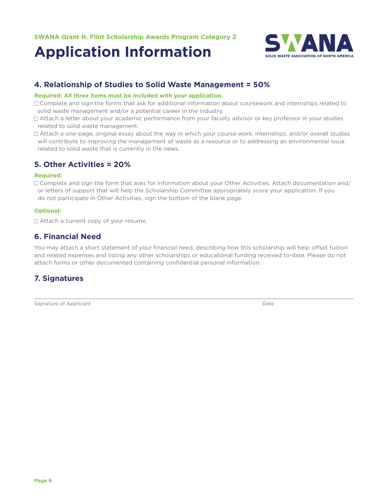# **Application Information**



## **4. Relationship of Studies to Solid Waste Management = 50%**

#### **Required: All three items must be included with your application.**

- □ Complete and sign the forms that ask for additional information about coursework and internships related to solid waste management and/or a potential career in the industry.
- □ Attach a letter about your academic performance from your faculty advisor or key professor in your studies related to solid waste management.
- Attach a one-page, original essay about the way in which your course work, internships, and/or overall studies will contribute to improving the management of waste as a resource or to addressing an environmental issue related to solid waste that is currently in the news.

## **5. Other Activities = 20%**

#### **Required:**

 $\Box$  Complete and sign the form that asks for information about your Other Activities. Attach documentation and/ or letters of support that will help the Scholarship Committee appropriately score your application. If you do not participate in Other Activities, sign the bottom of the blank page.

#### **Optional:**

□ Attach a current copy of your resume.

## **6. Financial Need**

You may attach a short statement of your financial need, describing how this scholarship will help offset tuition and related expenses and listing any other scholarships or educational funding received to-date. Please do not attach forms or other documented containing confidential personal information.

## **7. Signatures**

Signature of Applicant Date of Applicant Date of Applicant Date of Applicant Date of Applicant Date of Applicant Date of Applicant Date of Applicant Date of Applicant Date of Applicant Date of Applicant Date of Applicant D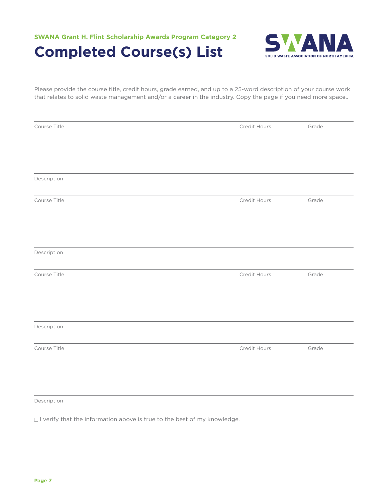



Please provide the course title, credit hours, grade earned, and up to a 25-word description of your course work that relates to solid waste management and/or a career in the industry. Copy the page if you need more space..

| Course Title | Credit Hours | Grade |
|--------------|--------------|-------|
|              |              |       |
|              |              |       |
| Description  |              |       |
| Course Title | Credit Hours | Grade |
|              |              |       |
|              |              |       |
| Description  |              |       |
| Course Title | Credit Hours | Grade |
|              |              |       |
|              |              |       |
| Description  |              |       |
| Course Title | Credit Hours | Grade |
|              |              |       |
|              |              |       |

Description

 $\Box$  I verify that the information above is true to the best of my knowledge.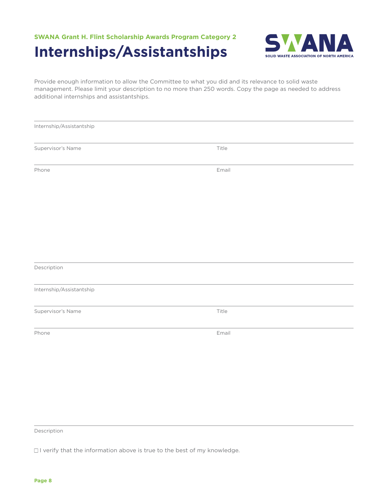## **SWANA Grant H. Flint Scholarship Awards Program Category 2 Internships/Assistantships**



Provide enough information to allow the Committee to what you did and its relevance to solid waste management. Please limit your description to no more than 250 words. Copy the page as needed to address additional internships and assistantships.

| Internship/Assistantship |       |  |
|--------------------------|-------|--|
| Supervisor's Name        | Title |  |
| Phone                    | Email |  |
|                          |       |  |
|                          |       |  |
|                          |       |  |
| Description              |       |  |
| Internship/Assistantship |       |  |
| Supervisor's Name        | Title |  |
| Phone                    | Email |  |
|                          |       |  |
|                          |       |  |

Description

 $\Box$  I verify that the information above is true to the best of my knowledge.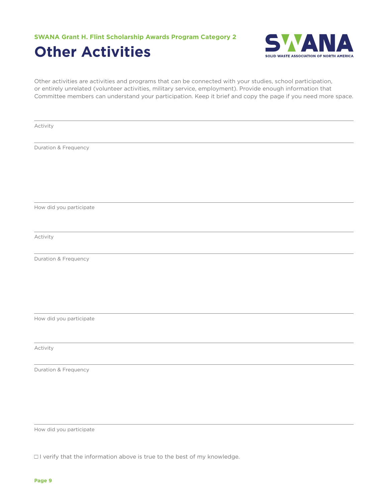**SWANA Grant H. Flint Scholarship Awards Program Category 2 Other Activities**



Other activities are activities and programs that can be connected with your studies, school participation, or entirely unrelated (volunteer activities, military service, employment). Provide enough information that Committee members can understand your participation. Keep it brief and copy the page if you need more space.

Activity

Duration & Frequency

How did you participate

Activity

Duration & Frequency

How did you participate

Activity

Duration & Frequency

How did you participate

 $\Box$  I verify that the information above is true to the best of my knowledge.